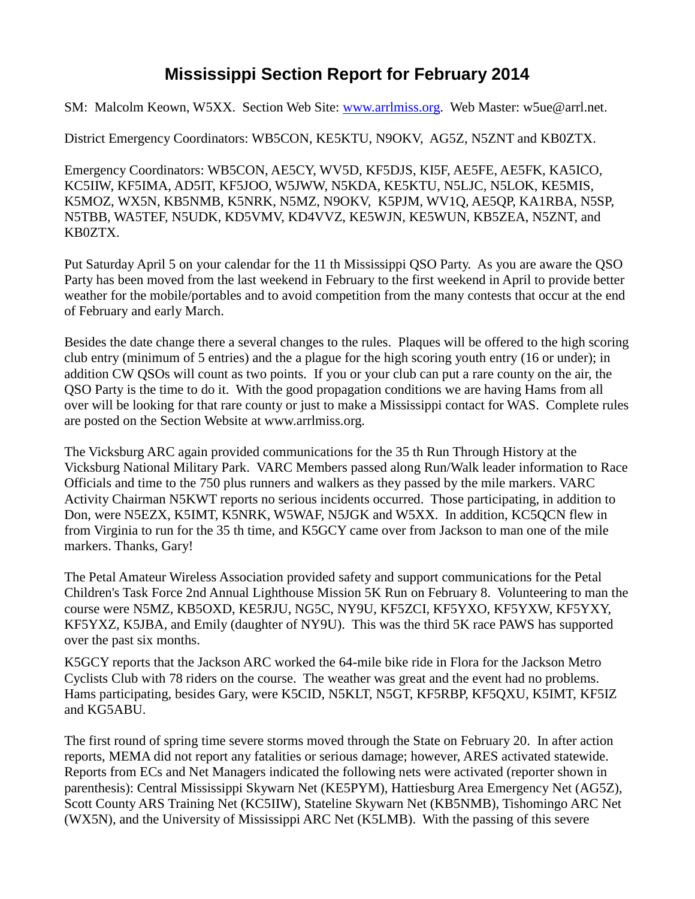## **Mississippi Section Report for February 2014**

SM: Malcolm Keown, W5XX. Section Web Site: [www.arrlmiss.org.](http://www.arrlmiss.org/) Web Master: w5ue@arrl.net.

District Emergency Coordinators: WB5CON, KE5KTU, N9OKV, AG5Z, N5ZNT and KB0ZTX.

Emergency Coordinators: WB5CON, AE5CY, WV5D, KF5DJS, KI5F, AE5FE, AE5FK, KA5ICO, KC5IIW, KF5IMA, AD5IT, KF5JOO, W5JWW, N5KDA, KE5KTU, N5LJC, N5LOK, KE5MIS, K5MOZ, WX5N, KB5NMB, K5NRK, N5MZ, N9OKV, K5PJM, WV1Q, AE5QP, KA1RBA, N5SP, N5TBB, WA5TEF, N5UDK, KD5VMV, KD4VVZ, KE5WJN, KE5WUN, KB5ZEA, N5ZNT, and KB0ZTX.

Put Saturday April 5 on your calendar for the 11 th Mississippi QSO Party. As you are aware the QSO Party has been moved from the last weekend in February to the first weekend in April to provide better weather for the mobile/portables and to avoid competition from the many contests that occur at the end of February and early March.

Besides the date change there a several changes to the rules. Plaques will be offered to the high scoring club entry (minimum of 5 entries) and the a plague for the high scoring youth entry (16 or under); in addition CW QSOs will count as two points. If you or your club can put a rare county on the air, the QSO Party is the time to do it. With the good propagation conditions we are having Hams from all over will be looking for that rare county or just to make a Mississippi contact for WAS. Complete rules are posted on the Section Website at www.arrlmiss.org.

The Vicksburg ARC again provided communications for the 35 th Run Through History at the Vicksburg National Military Park. VARC Members passed along Run/Walk leader information to Race Officials and time to the 750 plus runners and walkers as they passed by the mile markers. VARC Activity Chairman N5KWT reports no serious incidents occurred. Those participating, in addition to Don, were N5EZX, K5IMT, K5NRK, W5WAF, N5JGK and W5XX. In addition, KC5QCN flew in from Virginia to run for the 35 th time, and K5GCY came over from Jackson to man one of the mile markers. Thanks, Gary!

The Petal Amateur Wireless Association provided safety and support communications for the Petal Children's Task Force 2nd Annual Lighthouse Mission 5K Run on February 8. Volunteering to man the course were N5MZ, KB5OXD, KE5RJU, NG5C, NY9U, KF5ZCI, KF5YXO, KF5YXW, KF5YXY, KF5YXZ, K5JBA, and Emily (daughter of NY9U). This was the third 5K race PAWS has supported over the past six months.

K5GCY reports that the Jackson ARC worked the 64-mile bike ride in Flora for the Jackson Metro Cyclists Club with 78 riders on the course. The weather was great and the event had no problems. Hams participating, besides Gary, were K5CID, N5KLT, N5GT, KF5RBP, KF5QXU, K5IMT, KF5IZ and KG5ABU.

The first round of spring time severe storms moved through the State on February 20. In after action reports, MEMA did not report any fatalities or serious damage; however, ARES activated statewide. Reports from ECs and Net Managers indicated the following nets were activated (reporter shown in parenthesis): Central Mississippi Skywarn Net (KE5PYM), Hattiesburg Area Emergency Net (AG5Z), Scott County ARS Training Net (KC5IIW), Stateline Skywarn Net (KB5NMB), Tishomingo ARC Net (WX5N), and the University of Mississippi ARC Net (K5LMB). With the passing of this severe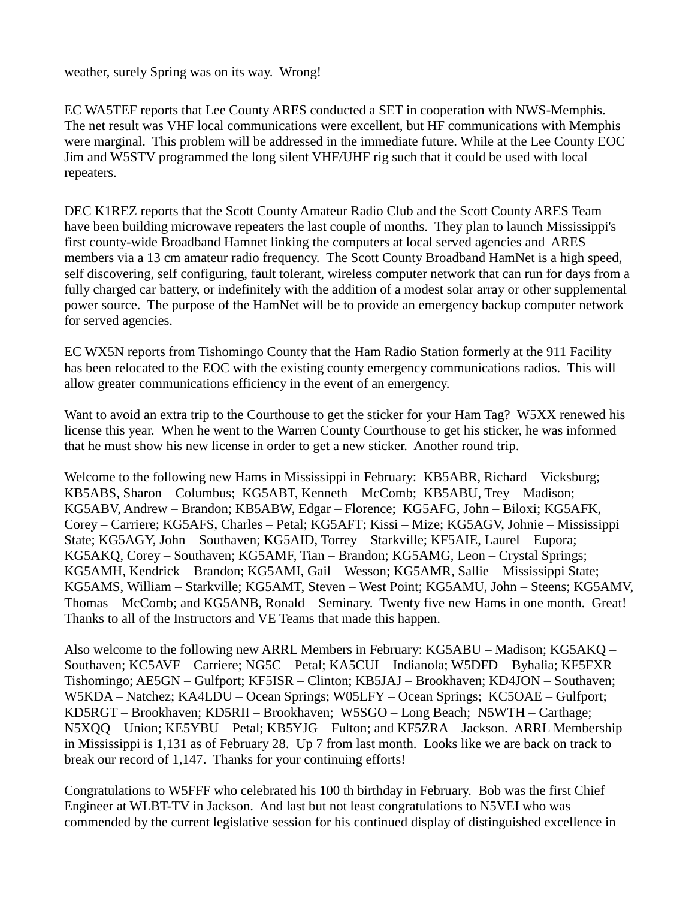weather, surely Spring was on its way. Wrong!

EC WA5TEF reports that Lee County ARES conducted a SET in cooperation with NWS-Memphis. The net result was VHF local communications were excellent, but HF communications with Memphis were marginal. This problem will be addressed in the immediate future. While at the Lee County EOC Jim and W5STV programmed the long silent VHF/UHF rig such that it could be used with local repeaters.

DEC K1REZ reports that the Scott County Amateur Radio Club and the Scott County ARES Team have been building microwave repeaters the last couple of months. They plan to launch Mississippi's first county-wide Broadband Hamnet linking the computers at local served agencies and ARES members via a 13 cm amateur radio frequency. The Scott County Broadband HamNet is a high speed, self discovering, self configuring, fault tolerant, wireless computer network that can run for days from a fully charged car battery, or indefinitely with the addition of a modest solar array or other supplemental power source. The purpose of the HamNet will be to provide an emergency backup computer network for served agencies.

EC WX5N reports from Tishomingo County that the Ham Radio Station formerly at the 911 Facility has been relocated to the EOC with the existing county emergency communications radios. This will allow greater communications efficiency in the event of an emergency.

Want to avoid an extra trip to the Courthouse to get the sticker for your Ham Tag? W5XX renewed his license this year. When he went to the Warren County Courthouse to get his sticker, he was informed that he must show his new license in order to get a new sticker. Another round trip.

Welcome to the following new Hams in Mississippi in February: KB5ABR, Richard – Vicksburg; KB5ABS, Sharon – Columbus; KG5ABT, Kenneth – McComb; KB5ABU, Trey – Madison; KG5ABV, Andrew – Brandon; KB5ABW, Edgar – Florence; KG5AFG, John – Biloxi; KG5AFK, Corey – Carriere; KG5AFS, Charles – Petal; KG5AFT; Kissi – Mize; KG5AGV, Johnie – Mississippi State; KG5AGY, John – Southaven; KG5AID, Torrey – Starkville; KF5AIE, Laurel – Eupora; KG5AKQ, Corey – Southaven; KG5AMF, Tian – Brandon; KG5AMG, Leon – Crystal Springs; KG5AMH, Kendrick – Brandon; KG5AMI, Gail – Wesson; KG5AMR, Sallie – Mississippi State; KG5AMS, William – Starkville; KG5AMT, Steven – West Point; KG5AMU, John – Steens; KG5AMV, Thomas – McComb; and KG5ANB, Ronald – Seminary. Twenty five new Hams in one month. Great! Thanks to all of the Instructors and VE Teams that made this happen.

Also welcome to the following new ARRL Members in February: KG5ABU – Madison; KG5AKQ – Southaven; KC5AVF – Carriere; NG5C – Petal; KA5CUI – Indianola; W5DFD – Byhalia; KF5FXR – Tishomingo; AE5GN – Gulfport; KF5ISR – Clinton; KB5JAJ – Brookhaven; KD4JON – Southaven; W5KDA – Natchez; KA4LDU – Ocean Springs; W05LFY – Ocean Springs; KC5OAE – Gulfport; KD5RGT – Brookhaven; KD5RII – Brookhaven; W5SGO – Long Beach; N5WTH – Carthage; N5XQQ – Union; KE5YBU – Petal; KB5YJG – Fulton; and KF5ZRA – Jackson. ARRL Membership in Mississippi is 1,131 as of February 28. Up 7 from last month. Looks like we are back on track to break our record of 1,147. Thanks for your continuing efforts!

Congratulations to W5FFF who celebrated his 100 th birthday in February. Bob was the first Chief Engineer at WLBT-TV in Jackson. And last but not least congratulations to N5VEI who was commended by the current legislative session for his continued display of distinguished excellence in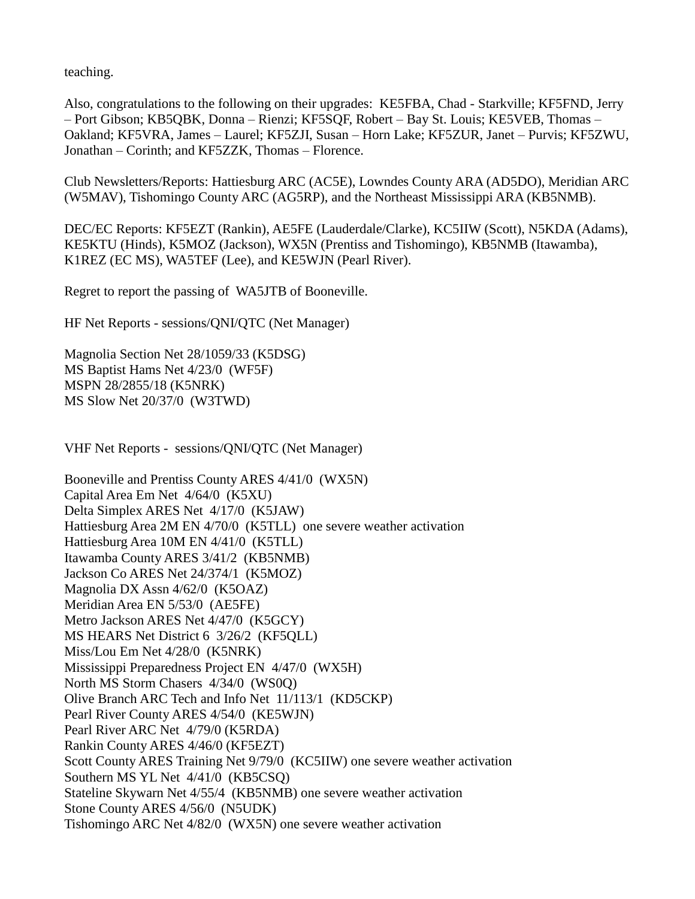teaching.

Also, congratulations to the following on their upgrades: KE5FBA, Chad - Starkville; KF5FND, Jerry – Port Gibson; KB5QBK, Donna – Rienzi; KF5SQF, Robert – Bay St. Louis; KE5VEB, Thomas – Oakland; KF5VRA, James – Laurel; KF5ZJI, Susan – Horn Lake; KF5ZUR, Janet – Purvis; KF5ZWU, Jonathan – Corinth; and KF5ZZK, Thomas – Florence.

Club Newsletters/Reports: Hattiesburg ARC (AC5E), Lowndes County ARA (AD5DO), Meridian ARC (W5MAV), Tishomingo County ARC (AG5RP), and the Northeast Mississippi ARA (KB5NMB).

DEC/EC Reports: KF5EZT (Rankin), AE5FE (Lauderdale/Clarke), KC5IIW (Scott), N5KDA (Adams), KE5KTU (Hinds), K5MOZ (Jackson), WX5N (Prentiss and Tishomingo), KB5NMB (Itawamba), K1REZ (EC MS), WA5TEF (Lee), and KE5WJN (Pearl River).

Regret to report the passing of WA5JTB of Booneville.

HF Net Reports - sessions/QNI/QTC (Net Manager)

Magnolia Section Net 28/1059/33 (K5DSG) MS Baptist Hams Net 4/23/0 (WF5F) MSPN 28/2855/18 (K5NRK) MS Slow Net 20/37/0 (W3TWD)

VHF Net Reports - sessions/QNI/QTC (Net Manager)

Booneville and Prentiss County ARES 4/41/0 (WX5N) Capital Area Em Net 4/64/0 (K5XU) Delta Simplex ARES Net 4/17/0 (K5JAW) Hattiesburg Area 2M EN 4/70/0 (K5TLL) one severe weather activation Hattiesburg Area 10M EN 4/41/0 (K5TLL) Itawamba County ARES 3/41/2 (KB5NMB) Jackson Co ARES Net 24/374/1 (K5MOZ) Magnolia DX Assn 4/62/0 (K5OAZ) Meridian Area EN 5/53/0 (AE5FE) Metro Jackson ARES Net 4/47/0 (K5GCY) MS HEARS Net District 6 3/26/2 (KF5QLL) Miss/Lou Em Net 4/28/0 (K5NRK) Mississippi Preparedness Project EN 4/47/0 (WX5H) North MS Storm Chasers 4/34/0 (WS0Q) Olive Branch ARC Tech and Info Net 11/113/1 (KD5CKP) Pearl River County ARES 4/54/0 (KE5WJN) Pearl River ARC Net 4/79/0 (K5RDA) Rankin County ARES 4/46/0 (KF5EZT) Scott County ARES Training Net 9/79/0 (KC5IIW) one severe weather activation Southern MS YL Net 4/41/0 (KB5CSQ) Stateline Skywarn Net 4/55/4 (KB5NMB) one severe weather activation Stone County ARES 4/56/0 (N5UDK) Tishomingo ARC Net 4/82/0 (WX5N) one severe weather activation